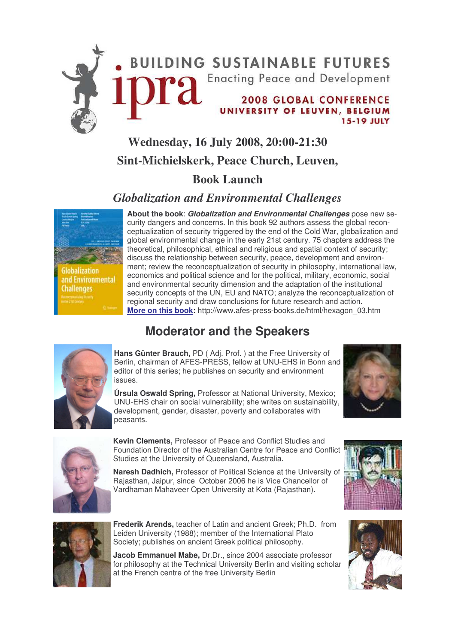

## **Wednesday, 16 July 2008, 20:00-21:30 Sint-Michielskerk, Peace Church, Leuven,**

### **Book Launch**

### *Globalization and Environmental Challenges*

palization and Environmental **Challenges** 

**About the book**: *Globalization and Environmental Challenges* pose new security dangers and concerns. In this book 92 authors assess the global reconceptualization of security triggered by the end of the Cold War, globalization and global environmental change in the early 21st century. 75 chapters address the theoretical, philosophical, ethical and religious and spatial context of security; discuss the relationship between security, peace, development and environment; review the reconceptualization of security in philosophy, international law, economics and political science and for the political, military, economic, social and environmental security dimension and the adaptation of the institutional security concepts of the UN, EU and NATO; analyze the reconceptualization of regional security and draw conclusions for future research and action. **More on this book:** http://www.afes-press-books.de/html/hexagon\_03.htm

### **Moderator and the Speakers**



**Hans Günter Brauch,** PD ( Adj. Prof. ) at the Free University of Berlin, chairman of AFES-PRESS, fellow at UNU-EHS in Bonn and editor of this series; he publishes on security and environment issues.



**Úrsula Oswald Spring,** Professor at National University, Mexico; UNU-EHS chair on social vulnerability; she writes on sustainability, development, gender, disaster, poverty and collaborates with peasants.



**Kevin Clements,** Professor of Peace and Conflict Studies and Foundation Director of the Australian Centre for Peace and Conflict Studies at the University of Queensland, Australia.

**Naresh Dadhich,** Professor of Political Science at the University of Rajasthan, Jaipur, since October 2006 he is Vice Chancellor of Vardhaman Mahaveer Open University at Kota (Rajasthan).



**Frederik Arends,** teacher of Latin and ancient Greek; Ph.D. from Leiden University (1988); member of the International Plato Society; publishes on ancient Greek political philosophy.

**Jacob Emmanuel Mabe,** Dr.Dr., since 2004 associate professor for philosophy at the Technical University Berlin and visiting scholar at the French centre of the free University Berlin



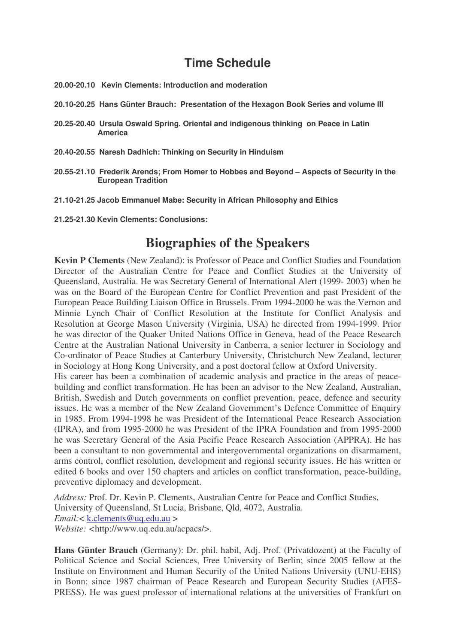### **Time Schedule**

- **20.00-20.10 Kevin Clements: Introduction and moderation**
- **20.10-20.25 Hans Günter Brauch: Presentation of the Hexagon Book Series and volume III**
- **20.25-20.40 Ursula Oswald Spring. Oriental and indigenous thinking on Peace in Latin America**
- **20.40-20.55 Naresh Dadhich: Thinking on Security in Hinduism**
- **20.55-21.10 Frederik Arends; From Homer to Hobbes and Beyond – Aspects of Security in the European Tradition**
- **21.10-21.25 Jacob Emmanuel Mabe: Security in African Philosophy and Ethics**
- **21.25-21.30 Kevin Clements: Conclusions:**

### **Biographies of the Speakers**

**Kevin P Clements** (New Zealand): is Professor of Peace and Conflict Studies and Foundation Director of the Australian Centre for Peace and Conflict Studies at the University of Queensland, Australia. He was Secretary General of International Alert (1999- 2003) when he was on the Board of the European Centre for Conflict Prevention and past President of the European Peace Building Liaison Office in Brussels. From 1994-2000 he was the Vernon and Minnie Lynch Chair of Conflict Resolution at the Institute for Conflict Analysis and Resolution at George Mason University (Virginia, USA) he directed from 1994-1999. Prior he was director of the Quaker United Nations Office in Geneva, head of the Peace Research Centre at the Australian National University in Canberra, a senior lecturer in Sociology and Co-ordinator of Peace Studies at Canterbury University, Christchurch New Zealand, lecturer in Sociology at Hong Kong University, and a post doctoral fellow at Oxford University.

His career has been a combination of academic analysis and practice in the areas of peacebuilding and conflict transformation. He has been an advisor to the New Zealand, Australian, British, Swedish and Dutch governments on conflict prevention, peace, defence and security issues. He was a member of the New Zealand Government's Defence Committee of Enquiry in 1985. From 1994-1998 he was President of the International Peace Research Association (IPRA), and from 1995-2000 he was President of the IPRA Foundation and from 1995-2000 he was Secretary General of the Asia Pacific Peace Research Association (APPRA). He has been a consultant to non governmental and intergovernmental organizations on disarmament, arms control, conflict resolution, development and regional security issues. He has written or edited 6 books and over 150 chapters and articles on conflict transformation, peace-building, preventive diplomacy and development.

*Address:* Prof. Dr. Kevin P. Clements, Australian Centre for Peace and Conflict Studies, University of Queensland, St Lucia, Brisbane, Qld, 4072, Australia. *Email:*< k.clements@uq.edu.au >

*Website: <*http://www.uq.edu.au/acpacs/>.

**Hans Günter Brauch** (Germany): Dr. phil. habil, Adj. Prof. (Privatdozent) at the Faculty of Political Science and Social Sciences, Free University of Berlin; since 2005 fellow at the Institute on Environment and Human Security of the United Nations University (UNU-EHS) in Bonn; since 1987 chairman of Peace Research and European Security Studies (AFES-PRESS). He was guest professor of international relations at the universities of Frankfurt on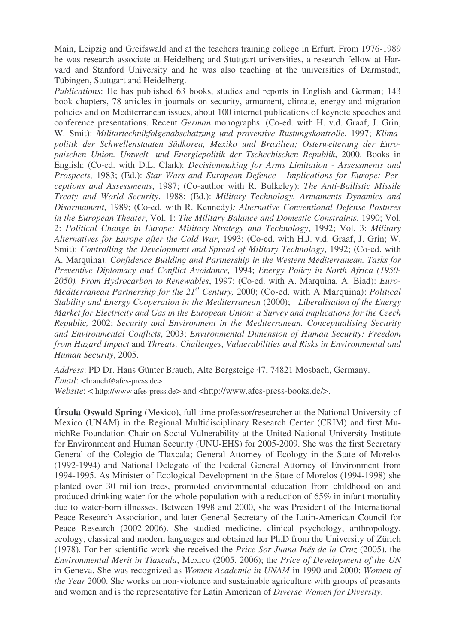Main, Leipzig and Greifswald and at the teachers training college in Erfurt. From 1976-1989 he was research associate at Heidelberg and Stuttgart universities, a research fellow at Harvard and Stanford University and he was also teaching at the universities of Darmstadt, Tübingen, Stuttgart and Heidelberg.

*Publications*: He has published 63 books, studies and reports in English and German; 143 book chapters, 78 articles in journals on security, armament, climate, energy and migration policies and on Mediterranean issues, about 100 internet publications of keynote speeches and conference presentations. Recent *German* monographs: (Co-ed. with H. v.d. Graaf, J. Grin, W. Smit): *Militärtechnikfolgenabschätzung und präventive Rüstungskontrolle*, 1997; *Klimapolitik der Schwellenstaaten Südkorea, Mexiko und Brasilien; Osterweiterung der Europäischen Union. Umwelt- und Energiepolitik der Tschechischen Republik*, 2000. Books in English: (Co-ed. with D.L. Clark): *Decisionmaking for Arms Limitation - Assessments and Prospects,* 1983; (Ed.): *Star Wars and European Defence - Implications for Europe: Perceptions and Assessments*, 1987; (Co-author with R. Bulkeley): *The Anti-Ballistic Missile Treaty and World Security*, 1988; (Ed.): *Military Technology, Armaments Dynamics and Disarmament*, 1989; (Co-ed. with R. Kennedy*): Alternative Conventional Defense Postures in the European Theater*, Vol. 1: *The Military Balance and Domestic Constraints*, 1990; Vol. 2: *Political Change in Europe: Military Strategy and Technology*, 1992; Vol. 3: *Military Alternatives for Europe after the Cold War*, 1993; (Co-ed. with H.J. v.d. Graaf, J. Grin; W. Smit): *Controlling the Development and Spread of Military Technology*, 1992; (Co-ed. with A. Marquina): *Confidence Building and Partnership in the Western Mediterranean. Tasks for Preventive Diplomacy and Conflict Avoidance,* 1994; *Energy Policy in North Africa (1950- 2050). From Hydrocarbon to Renewables*, 1997; (Co-ed. with A. Marquina, A. Biad): *Euro-Mediterranean Partnership for the 21 st Century,* 2000; (Co-ed. with A Marquina): *Political Stability and Energy Cooperation in the Mediterranean* (2000); *Liberalisation of the Energy Market for Electricity and Gas in the European Union: a Survey and implications for the Czech Republic,* 2002; *Security and Environment in the Mediterranean. Conceptualising Security and Environmental Conflicts*, 2003; *Environmental Dimension of Human Security: Freedom from Hazard Impact* and *Threats, Challenges*, *Vulnerabilities and Risks in Environmental and Human Security*, 2005.

*Address*: PD Dr. Hans Günter Brauch, Alte Bergsteige 47, 74821 Mosbach, Germany. *Email*: <br/> <br/> <br/>  $\triangle$  afes-press.de>

*Website*: < http://www.afes-press.de> and <http://www.afes-press-books.de/>.

**Úrsula Oswald Spring** (Mexico), full time professor/researcher at the National University of Mexico (UNAM) in the Regional Multidisciplinary Research Center (CRIM) and first MunichRe Foundation Chair on Social Vulnerability at the United National University Institute for Environment and Human Security (UNU-EHS) for 2005-2009. She was the first Secretary General of the Colegio de Tlaxcala; General Attorney of Ecology in the State of Morelos (1992-1994) and National Delegate of the Federal General Attorney of Environment from 1994-1995. As Minister of Ecological Development in the State of Morelos (1994-1998) she planted over 30 million trees, promoted environmental education from childhood on and produced drinking water for the whole population with a reduction of 65% in infant mortality due to water-born illnesses. Between 1998 and 2000, she was President of the International Peace Research Association, and later General Secretary of the Latin-American Council for Peace Research (2002-2006). She studied medicine, clinical psychology, anthropology, ecology, classical and modern languages and obtained her Ph.D from the University of Zürich (1978). For her scientific work she received the *Price Sor Juana Inés de la Cruz* (2005), the *Environmental Merit in Tlaxcala*, Mexico (2005. 2006); the *Price of Development of the UN* in Geneva. She was recognized as *Women Academic in UNAM* in 1990 and 2000; *Women of the Year* 2000. She works on non-violence and sustainable agriculture with groups of peasants and women and is the representative for Latin American of *Diverse Women for Diversity*.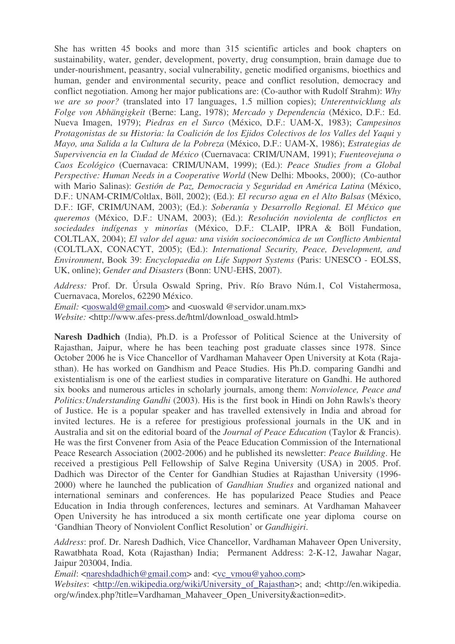She has written 45 books and more than 315 scientific articles and book chapters on sustainability, water, gender, development, poverty, drug consumption, brain damage due to under-nourishment, peasantry, social vulnerability, genetic modified organisms, bioethics and human, gender and environmental security, peace and conflict resolution, democracy and conflict negotiation. Among her major publications are: (Co-author with Rudolf Strahm): *Why we are so poor?* (translated into 17 languages, 1.5 million copies); *Unterentwicklung als Folge von Abhängigkeit* (Berne: Lang, 1978); *Mercado y Dependencia* (México, D.F.: Ed. Nueva Imagen, 1979); *Piedras en el Surco* (México, D.F.: UAM-X, 1983); *Campesinos Protagonistas de su Historia: la Coalición de los Ejidos Colectivos de los Valles del Yaqui y Mayo, una Salida a la Cultura de la Pobreza* (México, D.F.: UAM-X, 1986); *Estrategias de Supervivencia en la Ciudad de México* (Cuernavaca: CRIM/UNAM, 1991); *Fuenteovejuna o Caos Ecológico* (Cuernavaca: CRIM/UNAM, 1999); (Ed.): *Peace Studies from a Global Perspective: Human Needs in a Cooperative World* (New Delhi: Mbooks, 2000); (Co-author with Mario Salinas): *Gestión de Paz, Democracia y Seguridad en América Latina* (México, D.F.: UNAM-CRIM/Coltlax, Böll, 2002); (Ed.): *El recurso agua en el Alto Balsas* (México, D.F.: IGF, CRIM/UNAM, 2003); (Ed.): *Soberanía y Desarrollo Regional. El México que queremos* (México, D.F.: UNAM, 2003); (Ed.): *Resolución noviolenta de conflictos en sociedades indígenas y minorías* (México, D.F.: CLAIP, IPRA & Böll Fundation, COLTLAX, 2004); *El valor del agua: una visión socioeconómica de un Conflicto Ambiental* (COLTLAX, CONACYT, 2005); (Ed.): *International Security, Peace, Development, and Environment*, Book 39: *Encyclopaedia on Life Support Systems* (Paris: UNESCO - EOLSS, UK, online); *Gender and Disasters* (Bonn: UNU-EHS, 2007).

*Address:* Prof. Dr. Úrsula Oswald Spring, Priv. Río Bravo Núm.1, Col Vistahermosa, Cuernavaca, Morelos, 62290 México.

*Email:* <uoswald@gmail.com> and <uoswald @servidor.unam.mx>

*Website:* <http://www.afes-press.de/html/download\_oswald.html>

**Naresh Dadhich** (India), Ph.D. is a Professor of Political Science at the University of Rajasthan, Jaipur, where he has been teaching post graduate classes since 1978. Since October 2006 he is Vice Chancellor of Vardhaman Mahaveer Open University at Kota (Rajasthan). He has worked on Gandhism and Peace Studies. His Ph.D. comparing Gandhi and existentialism is one of the earliest studies in comparative literature on Gandhi. He authored six books and numerous articles in scholarly journals, among them: *Nonviolence, Peace and Politics:Understanding Gandhi* (2003). His is the first book in Hindi on John Rawls's theory of Justice. He is a popular speaker and has travelled extensively in India and abroad for invited lectures. He is a referee for prestigious professional journals in the UK and in Australia and sit on the editorial board of the *Journal of Peace Education* (Taylor & Francis). He was the first Convener from Asia of the Peace Education Commission of the International Peace Research Association (2002-2006) and he published its newsletter: *Peace Building*. He received a prestigious Pell Fellowship of Salve Regina University (USA) in 2005. Prof. Dadhich was Director of the Center for Gandhian Studies at Rajasthan University (1996- 2000) where he launched the publication of *Gandhian Studies* and organized national and international seminars and conferences. He has popularized Peace Studies and Peace Education in India through conferences, lectures and seminars. At Vardhaman Mahaveer Open University he has introduced a six month certificate one year diploma course on 'Gandhian Theory of Nonviolent Conflict Resolution' or *Gandhigiri*.

*Address*: prof. Dr. Naresh Dadhich, Vice Chancellor, Vardhaman Mahaveer Open University, Rawatbhata Road, Kota (Rajasthan) India; Permanent Address: 2-K-12, Jawahar Nagar, Jaipur 203004, India.

*Email*: <nareshdadhich@gmail.com> and: <vc\_vmou@yahoo.com>

*Websites*: <http://en.wikipedia.org/wiki/University\_of\_Rajasthan>; and; <http://en.wikipedia. org/w/index.php?title=Vardhaman\_Mahaveer\_Open\_University&action=edit>.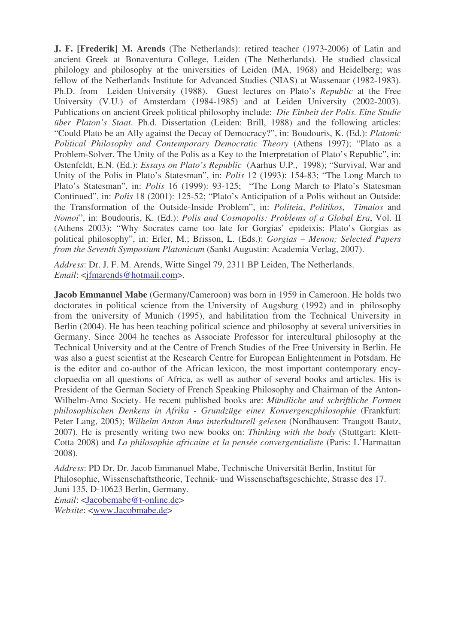**J. F. [Frederik] M. Arends** (The Netherlands): retired teacher (1973-2006) of Latin and ancient Greek at Bonaventura College, Leiden (The Netherlands). He studied classical philology and philosophy at the universities of Leiden (MA, 1968) and Heidelberg; was fellow of the Netherlands Institute for Advanced Studies (NIAS) at Wassenaar (1982-1983). Ph.D. from Leiden University (1988). Guest lectures on Plato's *Republic* at the Free University (V.U.) of Amsterdam (1984-1985) and at Leiden University (2002-2003). Publications on ancient Greek political philosophy include: *Die Einheit der Polis. Eine Studie über Platon's Staat*. Ph.d. Dissertation (Leiden: Brill, 1988) and the following articles: "Could Plato be an Ally against the Decay of Democracy?", in: Boudouris, K. (Ed.): *Platonic Political Philosophy and Contemporary Democratic Theory* (Athens 1997); "Plato as a Problem-Solver. The Unity of the Polis as a Key to the Interpretation of Plato's Republic", in: Ostenfeldt, E.N. (Ed.): *Essays on Plato's Republic* (Aarhus U.P., 1998); "Survival, War and Unity of the Polis in Plato's Statesman", in: *Polis* 12 (1993): 154-83; "The Long March to Plato's Statesman", in: *Polis* 16 (1999): 93-125; "The Long March to Plato's Statesman Continued", in: *Polis* 18 (2001): 125-52; "Plato's Anticipation of a Polis without an Outside: the Transformation of the Outside-Inside Problem", in: *Politeia*, *Politikos*, *Timaios* and *Nomoi*", in: Boudouris, K. (Ed.): *Polis and Cosmopolis: Problems of a Global Era*, Vol. II (Athens 2003); "Why Socrates came too late for Gorgias' epideixis: Plato's Gorgias as political philosophy", in: Erler, M.; Brisson, L. (Eds.): *Gorgias – Menon; Selected Papers from the Seventh Symposium Platonicum* (Sankt Augustin: Academia Verlag, 2007).

*Address*: Dr. J. F. M. Arends, Witte Singel 79, 2311 BP Leiden, The Netherlands. *Email*: <jfmarends@hotmail.com>.

**Jacob Emmanuel Mabe** (Germany/Cameroon) was born in 1959 in Cameroon. He holds two doctorates in political science from the University of Augsburg (1992) and in philosophy from the university of Munich (1995), and habilitation from the Technical University in Berlin (2004). He has been teaching political science and philosophy at several universities in Germany. Since 2004 he teaches as Associate Professor for intercultural philosophy at the Technical University and at the Centre of French Studies of the Free University in Berlin. He was also a guest scientist at the Research Centre for European Enlightenment in Potsdam. He is the editor and co-author of the African lexicon, the most important contemporary encyclopaedia on all questions of Africa, as well as author of several books and articles. His is President of the German Society of French Speaking Philosophy and Chairman of the Anton-Wilhelm-Amo Society. He recent published books are: *Mündliche und schriftliche Formen philosophischen Denkens in Afrika - Grundzüge einer Konvergenzphilosophie* (Frankfurt: Peter Lang, 2005); *Wilhelm Anton Amo interkulturell gelesen* (Nordhausen: Traugott Bautz, 2007). He is presently writing two new books on: *Thinking with the body* (Stuttgart: Klett-Cotta 2008) and *La philosophie africaine et la pensée convergentialiste* (Paris: L'Harmattan 2008).

*Address*: PD Dr. Dr. Jacob Emmanuel Mabe, Technische Universität Berlin, Institut für Philosophie, Wissenschaftstheorie, Technik- und Wissenschaftsgeschichte, Strasse des 17. Juni 135, D-10623 Berlin, Germany.

*Email*: <Jacobemabe@t-online.de> *Website*: <www.Jacobmabe.de>